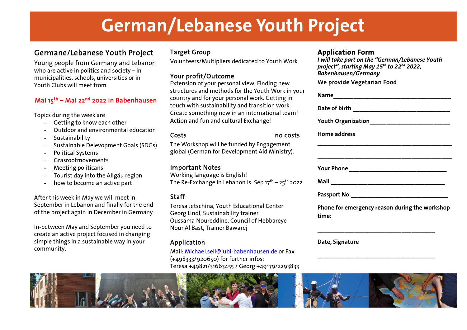# **German/Lebanese Youth Project**

## Germane/Lebanese Youth Project

 Young people from Germany and Lebanon who are active in politics and society – in municipalities, schools, universities or in Youth Clubs will meet from

#### Mai 15<sup>th</sup> – Mai 22<sup>nd</sup> 2022 in Babenhausen

Topics during the week are

- Getting to know each other
- Outdoor and environmental education
- Sustainability
- Sustainable Delevopment Goals (SDGs)
- Political Systems
- Grasrootmovements
- Meeting politicans
- Tourist day into the Allgäu region
- how to become an active part

After this week in May we will meet in September in Lebanon and finally for the end of the project again in December in Germany

In-between May and September you need to create an active project focused in changing simple things in a sustainable way in your community.

#### Target Group

Volunteers/Multipliers dedicated to Youth Work

#### Your profit/Outcome

 Extension of your personal view. Finding new structures and methods for the Youth Work in your country and for your personal work. Getting in touch with sustainability and transition work. Create something new in an international team! Action and fun and cultural Exchange!

Costs nno costs

osts The Workshop will be funded by Engagement global (German for Development Aid Ministry).

#### Important Notes

 Working language is English! The Re-Exchange in Lebanon is: Sep  $17^{th}$  –  $25^{th}$  2022

#### Staff

 Teresa Jetschina, Youth Educational Center Georg Lindl, Sustainability trainer Oussama Noureddine, Council of Hebbareye Nour Al Bast, Trainer Bawarej

#### Application

 Mail: Michael.sell@jubi-babenhausen.de or Fax (+498333/920650) for further infos: Teresa +49821/31663455 / Georg +49179/2293833

### **Application Form**

 *I will take part on the "German/Lebanese Youth project", starting May 15th to 22nd 2022, Babenhausen/Germany* 

#### We provide Vegetarian Food

| Home address                                            |
|---------------------------------------------------------|
|                                                         |
|                                                         |
|                                                         |
|                                                         |
| Phone for emergency reason during the workshop<br>time: |
|                                                         |

**\_\_\_\_\_\_\_\_\_\_\_\_\_\_\_\_\_\_\_\_\_\_\_\_\_\_\_\_\_\_\_\_\_\_\_** 

**Date, Signature**